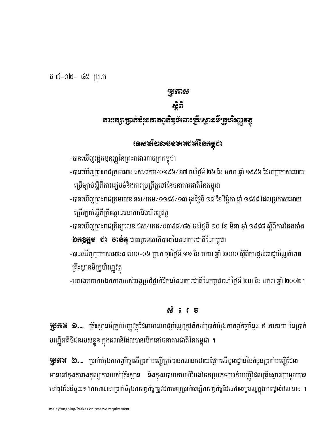ធ ៧-០២- ៤៥ ប្រ.ក

## Rbkas

อัติ

អារអេក្សាត្រូវអំបំរុំ១អាតឲ្យអឺមូបំពោះឝ្រីះស្ថា**នម៏ត្រូវ**សិរញ្ញទត្ថ

เฉ<sub>ี</sub>่ยวก็ฉายธอาสาเขาลีเดหนูชา

-បានឃើញព្រះរាជក្រមលេខ នស⁄រកម/0១៩៦/២៧ ចុះថ្ងៃទី ២៦ ខែ មករា ឆ្នាំ ១៩៩៦ ដែលប្រកាសអោយ

-បានឃើញព្រះរាជក្រមលេខ នស⁄រកម/១១៩៩/១៣ ចុះថ្ងៃទី ១៨ ខែ វិច្ឆិកា ឆ្នាំ ១៩៩៩ ដែលប្រកាសអោយ

-បានឃើញព្រះរាជក្រឹត្យលេខ ជស⁄រកត⁄០៣៩៨⁄៨៥ ចុះថ្ងៃទី ១០ ខែ មីនា ឆ្នាំ ១៩៩៨ ស្តីពីការតែងតាំង

-បានឃើញប្រកាសលេខធ ៧០០-០៦ ប្រ.ក ចុះថ្ងៃទី ១១ ខែ មករា ឆ្នាំ ២០០០ ស្តីពីការផ្តល់អាជ្ញាប័ណ្ណចំពោះ

-យោងតាមការឯកភាពរបស់អង្គប្រជុំថ្នាក់ដឹកនាំធនាគារជាតិនៃកម្ពុជានៅថ្ងៃទី ២៣ ខែ មករា ឆ្នាំ ២០០២ ។

-បានឃើញរដ្ឋធម្មនុញ្ញនៃព្រះរាជាណាចក្រកម្ពុជា

ក្រើច្បាប់ស្តីពីគ្រឹះស្ថានធនាគារនិងហិរញ្ញវត្ថុ

ប្រើច្បាប់ស្តីពីការរៀបចំនិងការប្រព្រឹត្តទៅនៃធនាគារជាតិនៃកម្ពុជា

**៦ភ3្គត្តម ៩រ ចាន់ត្** ជាអគ្គទេសាភិបាលនៃធនាគារជាតិនៃកម្ពុជា

### malay/ongoing/Prakas on reserve requirement

គ្រឹះស្ថានមីក្រូហិរញ្ញវត្ថ

# $\mathbf{y}$ នារ $\bullet$   $\bullet$  ក្រឹះស្ថានមីក្រូហិរញ្ហវត្ថុដែលមានអាជ្ញប័ណ្ណត្រូវតំកល់ប្រាក់បំរុងកាតព្វកិច្ចចំនួន ៥ ភាគរយ នៃប្រាក់ បញ្ញើអតិថិជនរបស់ខ្លួន ក្នុងគណនីដែលបានបើកនៅធនាគារជាតិនៃកម្ពុជា ។

<u>ක් 6 1 ස</u>

# $\mathbf{y}$ នារ $\mathbf{t}$  ២. $\mathbf{z}$  ប្រាក់បំរុងកាតព្វកិច្ចលើប្រាក់បញ្ហើត្រូវបានគណនាដោយផ្អែកលើមូលដ្ឋាននៃចំនួនប្រាក់បញ្ញើដែល មាននៅក្នុងតារាងតុល្យការរបស់គ្រឹះស្ថាន និងក្នុងរបាយការណ៍បែងចែកប្រភេទប្រាក់បញ្ហើដែលគ្រឹះស្ថានប្រមូលបាន នៅចុងខែនីមួយ១ ។ការគណនាប្រាក់បំរុងកាតព្វកិច្ចត្រូវដកចេញប្រាក់សន្សំកាតព្វកិច្ចដែលជាលក្ខខណ្ឌក្នុងការផ្តល់ឥណទាន ។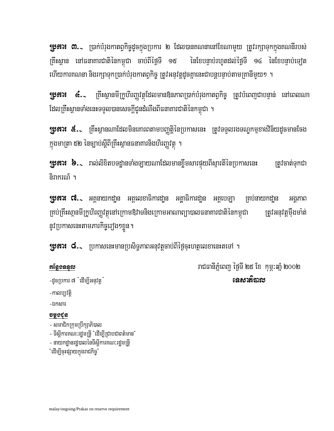**ប្រភារ៖ ៣.**১ ប្រាក់បំរុងកាតព្វកិច្ចដូចក្នុងប្រការ ២ ដែលបានគណនានៅខែណាមួយ ត្រូវរក្សាទុកក្នុងគណនីរបស់ ត្រឹះស្ថាន នៅធនាគារជាតិនៃកម្ពុជា ចាប់ពីថ្ងៃទី ១៥ នៃខែបន្ទាប់រហូតដល់ថ្ងៃទី ១៤ នៃខែបន្ទាប់ទេវុត ហើយការគណនា និងរក្សាទុកប្រាក់បំរុងកាតព្វកិច្ច ត្រូវអនុវត្តដូចគ្នានេះជាបន្តបន្ទាប់តាមគ្រានីមួយ១ ។

**៤.**~ ក្រឹះស្ថានមីក្រូហិរញ្ញវត្ថុដែលមានឱ្យនភាពប្រាក់បំរុងកាតព្វកិច្ច ត្រូវបំពេញជាបន្ទាន់ នៅពេលណា 15171 ដែលគ្រឹះស្ថានទាំងនេះទទួលបានសេចក្តីជូនដំណឹងពីធនាគារជាតិនៃកម្ពុជា ។

**រុទ្ធភារ៖ ៥.**<br>- កើរណាដែលមិនពេញពីដែលមិនកោរពតាមបញ្ញត្តិនៃប្រកាសនេះ ត្រូវទទួលរងទណ្ឌកម្មខាងវិន័យដូចមានថែង ក្នុងមាត្រា ៥២ នៃច្បាប់ស្តីពីគ្រឹះស្ថានធនាគារនិងហិរញ្ញវត្ថុ ។

**រុទ្ធភារ៖ ៦.**১ រាល់លិខិតបទដ្ឋានទាំងឡាយណាដែលមានខ្លីមសារផ្ទុយពីស្មារតីនៃប្រកាសនេះ ត្រូវចាត់ទុកជា និរាករណ៍ ។

**រុទ្ធភារ៖ ៧.**১ អគ្គនាយកដា្ឋន អគ្គលេខាធិការដា្ឋន អគ្គាធិការដា្ឋន អគ្គបេឡា ក្រប់នាយកដា្ឋន អង្គកាព គ្រប់គ្រឹះសា្ថនមីក្រូហិរញ្ញវត្ថុនៅក្រោមឱ្យវាទនិងក្រោមអាណាព្យាបាលធនាគារជាតិនៃកម្ពុជា ត្រូវអនុវត្តម៉ឹងមាំត់ នូវប្រកាសនេះតាមភារកិច្ចរ្យ៉ង១ខ្លួន។

**រុទ្ធភារ៖ ៨.**১ ប្រកាសនេះមានប្រសិទ្ធភាពអនុវត្តចាប់ពីថ្ងៃចុះហត្ថលេខានេះតទៅ ។

## អន្តែទទននួល

រាជធានីភ្នំពេញ ថ្ញៃទី ២៥ ខែ កុម្ភ:ឆ្នាំ ២០០២ <u>នេសាតិបាល</u>

-ដូចប្រការ ៧ "ដើម្បីអនុវត្ត" -កាលប្បវត្តិ

-ឯកសារ

## **ugoca**

- សមាជិកក្រុមប្រឹក្សាភិបាល

- ទីស្តីការគណ:រដ្ឋមន្ត្រី "ដើម្បីជ្រាបជាពត៌មាន"

- នាយកដ្ឋានរដ្ឋបាលនៃទីស្តីការគណៈរដ្ឋមន្ត្រី

"ដើម្បីចុះផ្សាយក្នុងរាជកិច្ច"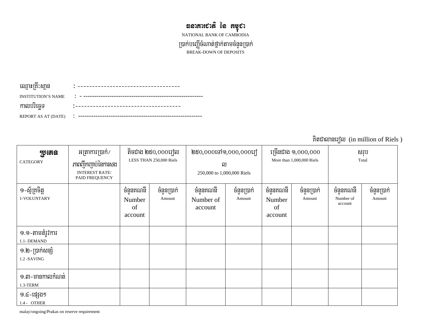# *ซฉา*สาเชาส์ เ้ล สซุชา

NATIONAL BANK OF CAMBODIA

ប្រាក់បញ្ញើចំណាត់ថ្នាក់តាមចំនួនប្រាក់<br>BREAK-DOWN OF DEPOSITS

| ឈ្មោះព្រះស្ថាន            |        |
|---------------------------|--------|
| <b>INSTITUTION'S NAME</b> |        |
| កាលបរចេទ                  |        |
| REPORT AS AT (DATE)       | ٠<br>٠ |

គិតជាលានរេ<br/>បំល $\,$  (in million of Riels )

| <u>ប្</u> រូបតន<br><b>CATEGORY</b>     | អត្រាការប្រាក់/<br>ភាពញឹកញាប់នៃការសង<br><b>INTEREST RATE/</b><br>PAID FREQUENCY | តិចជាង ២៥០,០០០រេសា<br>LESS THAN 250,000 Riels |                       | ២៥០,០០០ទៅ១,០០០,០០០រឿ<br>ល<br>250,000 to 1,000,000 Riels |                       | ច្រើនជាង ១,០០០,០០០<br>More than 1,000,000 Riels   |                       | សរុប<br>Total                     |                       |
|----------------------------------------|---------------------------------------------------------------------------------|-----------------------------------------------|-----------------------|---------------------------------------------------------|-----------------------|---------------------------------------------------|-----------------------|-----------------------------------|-----------------------|
| ១-ស្ម័គ្រចិត្ត<br>1-VOLUNTARY          |                                                                                 | ចំនួនគណនី<br>Number<br>of<br>account          | ចំនួនប្រាក់<br>Amount | ចំនួនគណនី<br>Number of<br>account                       | ចំនួនប្រាក់<br>Amount | ចំនួនគណនី <sub> </sub><br>Number<br>of<br>account | ចំនួនប្រាក់<br>Amount | ចំនួនគណនី<br>Number of<br>account | ចំនួនប្រាក់<br>Amount |
| ១.១-តាមតំរូវការ<br>1.1- DEMAND         |                                                                                 |                                               |                       |                                                         |                       |                                                   |                       |                                   |                       |
| ១.២–ប្រាក់សន្សំ<br>1.2 - SAVING        |                                                                                 |                                               |                       |                                                         |                       |                                                   |                       |                                   |                       |
| $9.$ ៣-មានកាលកំណត់<br>$1.3$ -TERM $\,$ |                                                                                 |                                               |                       |                                                         |                       |                                                   |                       |                                   |                       |
| ១.៤-ផ្សេងៗ<br>$1.4 - OTHER$            |                                                                                 |                                               |                       |                                                         |                       |                                                   |                       |                                   |                       |

malay/ongoing/Prakas on reserve requirement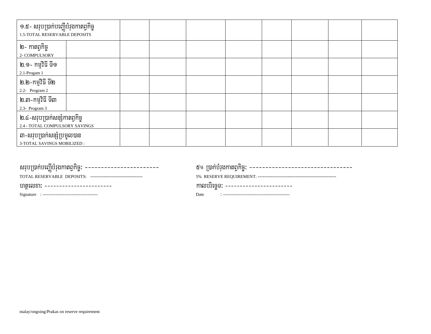| ១.៥- សរុបប្រាក់បញ្ញើបំរុងកាតព្វកិច្ច<br>1.5-TOTAL RESERVABLE DEPOSITS |  |  |  |  |
|-----------------------------------------------------------------------|--|--|--|--|
| ២- កាតព្វកិច្ច<br>2- COMPULSORY                                       |  |  |  |  |
| ់ ២.១- កម្មវិធី ទី១<br>2.1-Progam 1                                   |  |  |  |  |
| ២.២-កម្មវិធី ទី២<br>2.2- Program 2                                    |  |  |  |  |
| ២.៣–កម្មវិធី ទី៣<br>2.3- Program 3                                    |  |  |  |  |
| ២.៤-សរុបប្រាក់សន្សំកាតព្វកិច្ច<br>2.4 - TOTAL COMPULSORY SAVINGS      |  |  |  |  |
| ៣-សរុបប្រាក់សន្សំប្រមូលបាន<br>3-TOTAL SAVINGS MOBILIZED :             |  |  |  |  |

| សរុបប្រាក់បញ្ញើបំរុងកាតព្វកិច្ច: ------------------------     | ៥% ប្រាក់បំរុងកាតព្វកិច្ច: --------------------------------- |
|---------------------------------------------------------------|--------------------------------------------------------------|
| TOTAL RESERVABLE DEPOSITS: ---------------------------------- |                                                              |
| - ហតុលេខា: ------------------------                           | moving: -----------------------                              |
|                                                               | Date                                                         |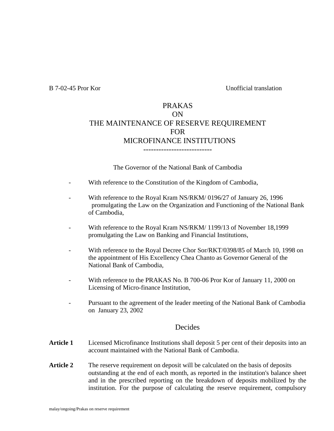B 7-02-45 Pror Kor Unofficial translation

### PRAKAS ON THE MAINTENANCE OF RESERVE REQUIREMENT FOR MICROFINANCE INSTITUTIONS ---------------------------

The Governor of the National Bank of Cambodia

- With reference to the Constitution of the Kingdom of Cambodia,
- With reference to the Royal Kram NS/RKM/ 0196/27 of January 26, 1996 promulgating the Law on the Organization and Functioning of the National Bank of Cambodia,
- With reference to the Royal Kram NS/RKM/ 1199/13 of November 18,1999 promulgating the Law on Banking and Financial Institutions,
- With reference to the Royal Decree Chor Sor/RKT/0398/85 of March 10, 1998 on the appointment of His Excellency Chea Chanto as Governor General of the National Bank of Cambodia,
- With reference to the PRAKAS No. B 700-06 Pror Kor of January 11, 2000 on Licensing of Micro-finance Institution,
- Pursuant to the agreement of the leader meeting of the National Bank of Cambodia on January 23, 2002

### **Decides**

- **Article 1** Licensed Microfinance Institutions shall deposit 5 per cent of their deposits into an account maintained with the National Bank of Cambodia.
- **Article 2** The reserve requirement on deposit will be calculated on the basis of deposits outstanding at the end of each month, as reported in the institution's balance sheet and in the prescribed reporting on the breakdown of deposits mobilized by the institution. For the purpose of calculating the reserve requirement, compulsory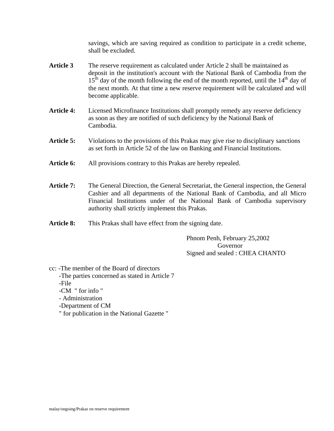savings, which are saving required as condition to participate in a credit scheme, shall be excluded.

- Article 3 The reserve requirement as calculated under Article 2 shall be maintained as deposit in the institution's account with the National Bank of Cambodia from the  $15<sup>th</sup>$  day of the month following the end of the month reported, until the  $14<sup>th</sup>$  day of the next month. At that time a new reserve requirement will be calculated and will become applicable.
- Article 4: Licensed Microfinance Institutions shall promptly remedy any reserve deficiency as soon as they are notified of such deficiency by the National Bank of Cambodia.
- **Article 5:** Violations to the provisions of this Prakas may give rise to disciplinary sanctions as set forth in Article 52 of the law on Banking and Financial Institutions.
- **Article 6:** All provisions contrary to this Prakas are hereby repealed.
- **Article 7:** The General Direction, the General Secretariat, the General inspection, the General Cashier and all departments of the National Bank of Cambodia, and all Micro Financial Institutions under of the National Bank of Cambodia supervisory authority shall strictly implement this Prakas.
- **Article 8:** This Prakas shall have effect from the signing date.

Phnom Penh, February 25,2002 Governor Signed and sealed : CHEA CHANTO

cc: -The member of the Board of directors

- -The parties concerned as stated in Article 7
- -File
- -CM " for info "
- Administration
- -Department of CM
- " for publication in the National Gazette "